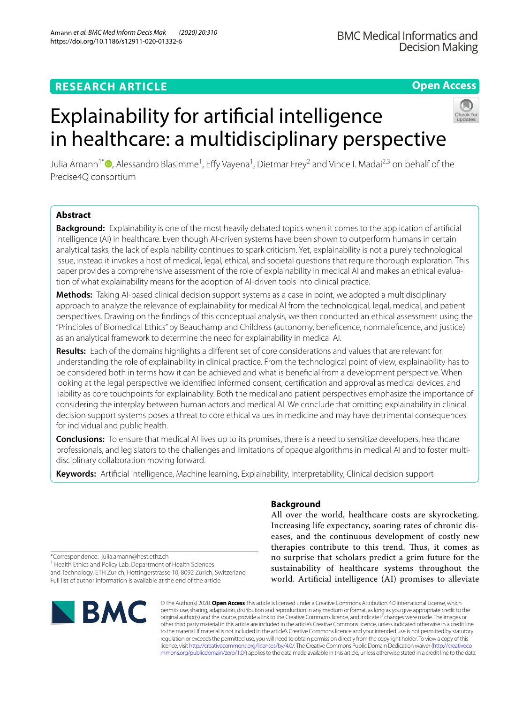# **RESEARCH ARTICLE**

# **Open Access**

# Explainability for artifcial intelligence in healthcare: a multidisciplinary perspective

Julia Amann<sup>1\*</sup> <sup>(D</sup>[,](http://orcid.org/0000-0003-2155-5286) Alessandro Blasimme<sup>1</sup>, Effy Vayena<sup>1</sup>, Dietmar Frey<sup>2</sup> and Vince I. Madai<sup>2,3</sup> on behalf of the Precise4Q consortium

# **Abstract**

**Background:** Explainability is one of the most heavily debated topics when it comes to the application of artifcial intelligence (AI) in healthcare. Even though AI-driven systems have been shown to outperform humans in certain analytical tasks, the lack of explainability continues to spark criticism. Yet, explainability is not a purely technological issue, instead it invokes a host of medical, legal, ethical, and societal questions that require thorough exploration. This paper provides a comprehensive assessment of the role of explainability in medical AI and makes an ethical evaluation of what explainability means for the adoption of AI-driven tools into clinical practice.

**Methods:** Taking AI-based clinical decision support systems as a case in point, we adopted a multidisciplinary approach to analyze the relevance of explainability for medical AI from the technological, legal, medical, and patient perspectives. Drawing on the fndings of this conceptual analysis, we then conducted an ethical assessment using the "Principles of Biomedical Ethics" by Beauchamp and Childress (autonomy, benefcence, nonmalefcence, and justice) as an analytical framework to determine the need for explainability in medical AI.

**Results:** Each of the domains highlights a diferent set of core considerations and values that are relevant for understanding the role of explainability in clinical practice. From the technological point of view, explainability has to be considered both in terms how it can be achieved and what is benefcial from a development perspective. When looking at the legal perspective we identifed informed consent, certifcation and approval as medical devices, and liability as core touchpoints for explainability. Both the medical and patient perspectives emphasize the importance of considering the interplay between human actors and medical AI. We conclude that omitting explainability in clinical decision support systems poses a threat to core ethical values in medicine and may have detrimental consequences for individual and public health.

**Conclusions:** To ensure that medical AI lives up to its promises, there is a need to sensitize developers, healthcare professionals, and legislators to the challenges and limitations of opaque algorithms in medical AI and to foster multidisciplinary collaboration moving forward.

**Keywords:** Artifcial intelligence, Machine learning, Explainability, Interpretability, Clinical decision support

## **Background**

All over the world, healthcare costs are skyrocketing. Increasing life expectancy, soaring rates of chronic diseases, and the continuous development of costly new therapies contribute to this trend. Thus, it comes as no surprise that scholars predict a grim future for the sustainability of healthcare systems throughout the world. Artifcial intelligence (AI) promises to alleviate

\*Correspondence: julia.amann@hest.ethz.ch

<sup>1</sup> Health Ethics and Policy Lab, Department of Health Sciences and Technology, ETH Zurich, Hottingerstrasse 10, 8092 Zurich, Switzerland Full list of author information is available at the end of the article



© The Author(s) 2020. **Open Access** This article is licensed under a Creative Commons Attribution 4.0 International License, which permits use, sharing, adaptation, distribution and reproduction in any medium or format, as long as you give appropriate credit to the original author(s) and the source, provide a link to the Creative Commons licence, and indicate if changes were made. The images or other third party material in this article are included in the article's Creative Commons licence, unless indicated otherwise in a credit line to the material. If material is not included in the article's Creative Commons licence and your intended use is not permitted by statutory regulation or exceeds the permitted use, you will need to obtain permission directly from the copyright holder. To view a copy of this licence, visit [http://creativecommons.org/licenses/by/4.0/.](http://creativecommons.org/licenses/by/4.0/) The Creative Commons Public Domain Dedication waiver ([http://creativeco](http://creativecommons.org/publicdomain/zero/1.0/) [mmons.org/publicdomain/zero/1.0/](http://creativecommons.org/publicdomain/zero/1.0/)) applies to the data made available in this article, unless otherwise stated in a credit line to the data.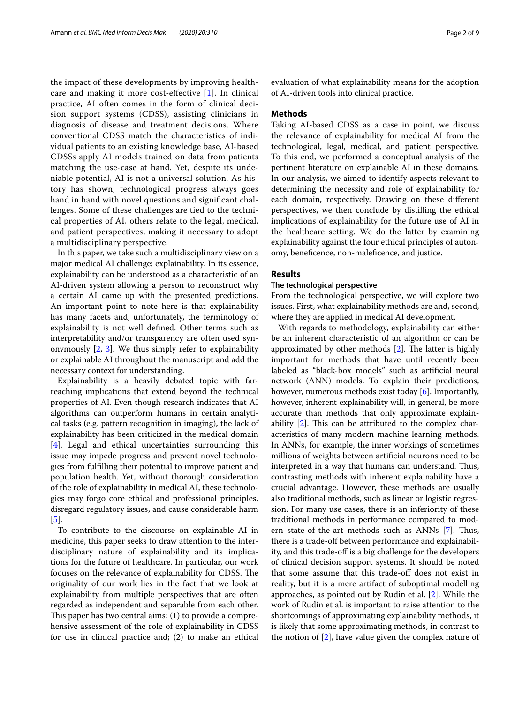the impact of these developments by improving healthcare and making it more cost-efective [[1\]](#page-7-0). In clinical practice, AI often comes in the form of clinical decision support systems (CDSS), assisting clinicians in diagnosis of disease and treatment decisions. Where conventional CDSS match the characteristics of individual patients to an existing knowledge base, AI-based CDSSs apply AI models trained on data from patients matching the use-case at hand. Yet, despite its undeniable potential, AI is not a universal solution. As history has shown, technological progress always goes hand in hand with novel questions and signifcant challenges. Some of these challenges are tied to the technical properties of AI, others relate to the legal, medical, and patient perspectives, making it necessary to adopt a multidisciplinary perspective.

In this paper, we take such a multidisciplinary view on a major medical AI challenge: explainability. In its essence, explainability can be understood as a characteristic of an AI-driven system allowing a person to reconstruct why a certain AI came up with the presented predictions. An important point to note here is that explainability has many facets and, unfortunately, the terminology of explainability is not well defned. Other terms such as interpretability and/or transparency are often used synonymously [\[2,](#page-7-1) [3\]](#page-7-2). We thus simply refer to explainability or explainable AI throughout the manuscript and add the necessary context for understanding.

Explainability is a heavily debated topic with farreaching implications that extend beyond the technical properties of AI. Even though research indicates that AI algorithms can outperform humans in certain analytical tasks (e.g. pattern recognition in imaging), the lack of explainability has been criticized in the medical domain [[4\]](#page-7-3). Legal and ethical uncertainties surrounding this issue may impede progress and prevent novel technologies from fulflling their potential to improve patient and population health. Yet, without thorough consideration of the role of explainability in medical AI, these technologies may forgo core ethical and professional principles, disregard regulatory issues, and cause considerable harm [[5\]](#page-8-0).

To contribute to the discourse on explainable AI in medicine, this paper seeks to draw attention to the interdisciplinary nature of explainability and its implications for the future of healthcare. In particular, our work focuses on the relevance of explainability for CDSS. The originality of our work lies in the fact that we look at explainability from multiple perspectives that are often regarded as independent and separable from each other. This paper has two central aims:  $(1)$  to provide a comprehensive assessment of the role of explainability in CDSS for use in clinical practice and; (2) to make an ethical evaluation of what explainability means for the adoption of AI-driven tools into clinical practice.

#### **Methods**

Taking AI-based CDSS as a case in point, we discuss the relevance of explainability for medical AI from the technological, legal, medical, and patient perspective. To this end, we performed a conceptual analysis of the pertinent literature on explainable AI in these domains. In our analysis, we aimed to identify aspects relevant to determining the necessity and role of explainability for each domain, respectively. Drawing on these diferent perspectives, we then conclude by distilling the ethical implications of explainability for the future use of AI in the healthcare setting. We do the latter by examining explainability against the four ethical principles of autonomy, benefcence, non-malefcence, and justice.

#### **Results**

#### **The technological perspective**

From the technological perspective, we will explore two issues. First, what explainability methods are and, second, where they are applied in medical AI development.

With regards to methodology, explainability can either be an inherent characteristic of an algorithm or can be approximated by other methods  $[2]$  $[2]$ . The latter is highly important for methods that have until recently been labeled as "black-box models" such as artifcial neural network (ANN) models. To explain their predictions, however, numerous methods exist today [[6\]](#page-8-1). Importantly, however, inherent explainability will, in general, be more accurate than methods that only approximate explainability  $[2]$  $[2]$ . This can be attributed to the complex characteristics of many modern machine learning methods. In ANNs, for example, the inner workings of sometimes millions of weights between artifcial neurons need to be interpreted in a way that humans can understand. Thus, contrasting methods with inherent explainability have a crucial advantage. However, these methods are usually also traditional methods, such as linear or logistic regression. For many use cases, there is an inferiority of these traditional methods in performance compared to mod-ern state-of-the-art methods such as ANNs [\[7](#page-8-2)]. Thus, there is a trade-of between performance and explainability, and this trade-off is a big challenge for the developers of clinical decision support systems. It should be noted that some assume that this trade-of does not exist in reality, but it is a mere artifact of suboptimal modelling approaches, as pointed out by Rudin et al. [\[2](#page-7-1)]. While the work of Rudin et al. is important to raise attention to the shortcomings of approximating explainability methods, it is likely that some approximating methods, in contrast to the notion of  $[2]$  $[2]$ , have value given the complex nature of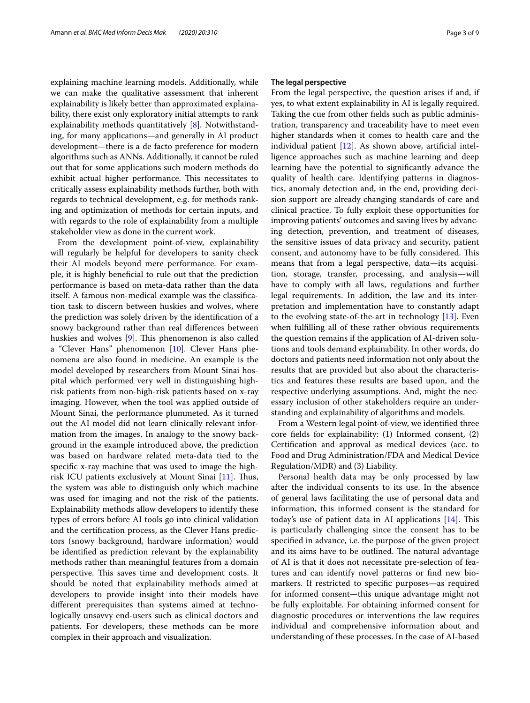explaining machine learning models. Additionally, while we can make the qualitative assessment that inherent explainability is likely better than approximated explainability, there exist only exploratory initial attempts to rank explainability methods quantitatively [[8\]](#page-8-3). Notwithstanding, for many applications—and generally in AI product development—there is a de facto preference for modern algorithms such as ANNs. Additionally, it cannot be ruled out that for some applications such modern methods do exhibit actual higher performance. This necessitates to critically assess explainability methods further, both with regards to technical development, e.g. for methods ranking and optimization of methods for certain inputs, and with regards to the role of explainability from a multiple stakeholder view as done in the current work.

From the development point-of-view, explainability will regularly be helpful for developers to sanity check their AI models beyond mere performance. For example, it is highly benefcial to rule out that the prediction performance is based on meta-data rather than the data itself. A famous non-medical example was the classifcation task to discern between huskies and wolves, where the prediction was solely driven by the identifcation of a snowy background rather than real diferences between huskies and wolves  $[9]$  $[9]$ . This phenomenon is also called a "Clever Hans" phenomenon [[10\]](#page-8-5). Clever Hans phenomena are also found in medicine. An example is the model developed by researchers from Mount Sinai hospital which performed very well in distinguishing highrisk patients from non-high-risk patients based on x-ray imaging. However, when the tool was applied outside of Mount Sinai, the performance plummeted. As it turned out the AI model did not learn clinically relevant information from the images. In analogy to the snowy background in the example introduced above, the prediction was based on hardware related meta-data tied to the specifc x-ray machine that was used to image the highrisk ICU patients exclusively at Mount Sinai  $[11]$  $[11]$ . Thus, the system was able to distinguish only which machine was used for imaging and not the risk of the patients. Explainability methods allow developers to identify these types of errors before AI tools go into clinical validation and the certifcation process, as the Clever Hans predictors (snowy background, hardware information) would be identifed as prediction relevant by the explainability methods rather than meaningful features from a domain perspective. This saves time and development costs. It should be noted that explainability methods aimed at developers to provide insight into their models have diferent prerequisites than systems aimed at technologically unsavvy end-users such as clinical doctors and patients. For developers, these methods can be more complex in their approach and visualization.

#### **The legal perspective**

From the legal perspective, the question arises if and, if yes, to what extent explainability in AI is legally required. Taking the cue from other felds such as public administration, transparency and traceability have to meet even higher standards when it comes to health care and the individual patient [\[12\]](#page-8-7). As shown above, artifcial intelligence approaches such as machine learning and deep learning have the potential to signifcantly advance the quality of health care. Identifying patterns in diagnostics, anomaly detection and, in the end, providing decision support are already changing standards of care and clinical practice. To fully exploit these opportunities for improving patients' outcomes and saving lives by advancing detection, prevention, and treatment of diseases, the sensitive issues of data privacy and security, patient consent, and autonomy have to be fully considered. This means that from a legal perspective, data—its acquisition, storage, transfer, processing, and analysis—will have to comply with all laws, regulations and further legal requirements. In addition, the law and its interpretation and implementation have to constantly adapt to the evolving state-of-the-art in technology [\[13](#page-8-8)]. Even when fulflling all of these rather obvious requirements the question remains if the application of AI-driven solutions and tools demand explainability. In other words, do doctors and patients need information not only about the results that are provided but also about the characteristics and features these results are based upon, and the respective underlying assumptions. And, might the necessary inclusion of other stakeholders require an understanding and explainability of algorithms and models.

From a Western legal point-of-view, we identifed three core felds for explainability: (1) Informed consent, (2) Certifcation and approval as medical devices (acc. to Food and Drug Administration/FDA and Medical Device Regulation/MDR) and (3) Liability.

Personal health data may be only processed by law after the individual consents to its use. In the absence of general laws facilitating the use of personal data and information, this informed consent is the standard for today's use of patient data in AI applications  $[14]$ . This is particularly challenging since the consent has to be specifed in advance, i.e. the purpose of the given project and its aims have to be outlined. The natural advantage of AI is that it does not necessitate pre-selection of features and can identify novel patterns or fnd new biomarkers. If restricted to specifc purposes—as required for informed consent—this unique advantage might not be fully exploitable. For obtaining informed consent for diagnostic procedures or interventions the law requires individual and comprehensive information about and understanding of these processes. In the case of AI-based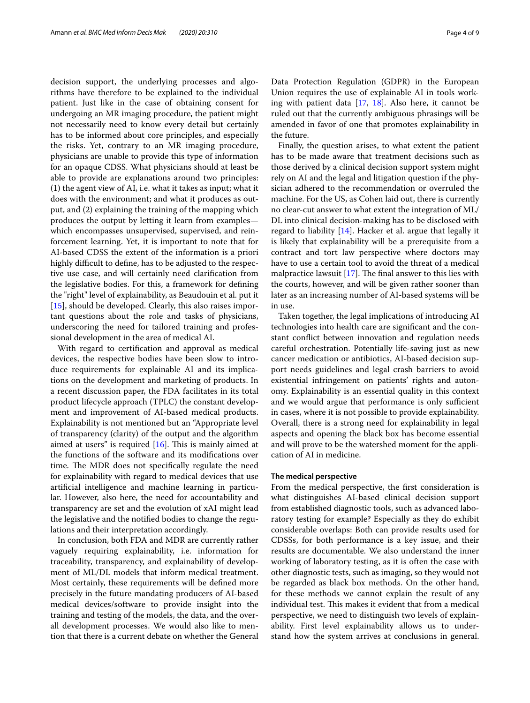decision support, the underlying processes and algorithms have therefore to be explained to the individual patient. Just like in the case of obtaining consent for undergoing an MR imaging procedure, the patient might not necessarily need to know every detail but certainly has to be informed about core principles, and especially the risks. Yet, contrary to an MR imaging procedure, physicians are unable to provide this type of information for an opaque CDSS. What physicians should at least be able to provide are explanations around two principles: (1) the agent view of AI, i.e. what it takes as input; what it does with the environment; and what it produces as output, and (2) explaining the training of the mapping which produces the output by letting it learn from examples which encompasses unsupervised, supervised, and reinforcement learning. Yet, it is important to note that for AI-based CDSS the extent of the information is a priori highly difficult to define, has to be adjusted to the respective use case, and will certainly need clarifcation from the legislative bodies. For this, a framework for defning the "right" level of explainability, as Beaudouin et al. put it [[15\]](#page-8-10), should be developed. Clearly, this also raises important questions about the role and tasks of physicians, underscoring the need for tailored training and professional development in the area of medical AI.

With regard to certifcation and approval as medical devices, the respective bodies have been slow to introduce requirements for explainable AI and its implications on the development and marketing of products. In a recent discussion paper, the FDA facilitates in its total product lifecycle approach (TPLC) the constant development and improvement of AI-based medical products. Explainability is not mentioned but an "Appropriate level of transparency (clarity) of the output and the algorithm aimed at users" is required  $[16]$  $[16]$ . This is mainly aimed at the functions of the software and its modifcations over time. The MDR does not specifically regulate the need for explainability with regard to medical devices that use artifcial intelligence and machine learning in particular. However, also here, the need for accountability and transparency are set and the evolution of xAI might lead the legislative and the notifed bodies to change the regulations and their interpretation accordingly.

In conclusion, both FDA and MDR are currently rather vaguely requiring explainability, i.e. information for traceability, transparency, and explainability of development of ML/DL models that inform medical treatment. Most certainly, these requirements will be defned more precisely in the future mandating producers of AI-based medical devices/software to provide insight into the training and testing of the models, the data, and the overall development processes. We would also like to mention that there is a current debate on whether the General Data Protection Regulation (GDPR) in the European Union requires the use of explainable AI in tools working with patient data [\[17](#page-8-12), [18\]](#page-8-13). Also here, it cannot be ruled out that the currently ambiguous phrasings will be amended in favor of one that promotes explainability in the future.

Finally, the question arises, to what extent the patient has to be made aware that treatment decisions such as those derived by a clinical decision support system might rely on AI and the legal and litigation question if the physician adhered to the recommendation or overruled the machine. For the US, as Cohen laid out, there is currently no clear-cut answer to what extent the integration of ML/ DL into clinical decision-making has to be disclosed with regard to liability  $[14]$  $[14]$ . Hacker et al. argue that legally it is likely that explainability will be a prerequisite from a contract and tort law perspective where doctors may have to use a certain tool to avoid the threat of a medical malpractice lawsuit  $[17]$  $[17]$ . The final answer to this lies with the courts, however, and will be given rather sooner than later as an increasing number of AI-based systems will be in use.

Taken together, the legal implications of introducing AI technologies into health care are signifcant and the constant confict between innovation and regulation needs careful orchestration. Potentially life-saving just as new cancer medication or antibiotics, AI-based decision support needs guidelines and legal crash barriers to avoid existential infringement on patients' rights and autonomy. Explainability is an essential quality in this context and we would argue that performance is only sufficient in cases, where it is not possible to provide explainability. Overall, there is a strong need for explainability in legal aspects and opening the black box has become essential and will prove to be the watershed moment for the application of AI in medicine.

#### **The medical perspective**

From the medical perspective, the frst consideration is what distinguishes AI-based clinical decision support from established diagnostic tools, such as advanced laboratory testing for example? Especially as they do exhibit considerable overlaps: Both can provide results used for CDSSs, for both performance is a key issue, and their results are documentable. We also understand the inner working of laboratory testing, as it is often the case with other diagnostic tests, such as imaging, so they would not be regarded as black box methods. On the other hand, for these methods we cannot explain the result of any individual test. This makes it evident that from a medical perspective, we need to distinguish two levels of explainability. First level explainability allows us to understand how the system arrives at conclusions in general.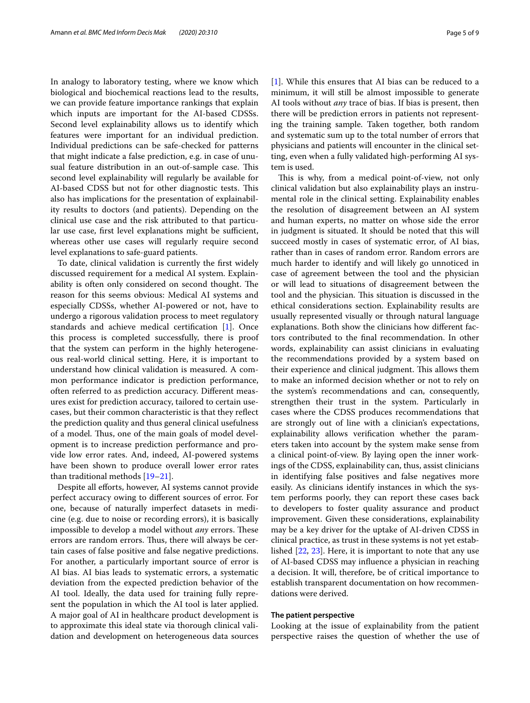In analogy to laboratory testing, where we know which biological and biochemical reactions lead to the results, we can provide feature importance rankings that explain which inputs are important for the AI-based CDSSs. Second level explainability allows us to identify which features were important for an individual prediction. Individual predictions can be safe-checked for patterns that might indicate a false prediction, e.g. in case of unusual feature distribution in an out-of-sample case. This second level explainability will regularly be available for AI-based CDSS but not for other diagnostic tests. This also has implications for the presentation of explainability results to doctors (and patients). Depending on the clinical use case and the risk attributed to that particular use case, first level explanations might be sufficient, whereas other use cases will regularly require second level explanations to safe-guard patients.

To date, clinical validation is currently the frst widely discussed requirement for a medical AI system. Explainability is often only considered on second thought. The reason for this seems obvious: Medical AI systems and especially CDSSs, whether AI-powered or not, have to undergo a rigorous validation process to meet regulatory standards and achieve medical certifcation [\[1\]](#page-7-0). Once this process is completed successfully, there is proof that the system can perform in the highly heterogeneous real-world clinical setting. Here, it is important to understand how clinical validation is measured. A common performance indicator is prediction performance, often referred to as prediction accuracy. Diferent measures exist for prediction accuracy, tailored to certain usecases, but their common characteristic is that they refect the prediction quality and thus general clinical usefulness of a model. Thus, one of the main goals of model development is to increase prediction performance and provide low error rates. And, indeed, AI-powered systems have been shown to produce overall lower error rates than traditional methods [[19–](#page-8-14)[21\]](#page-8-15).

Despite all efforts, however, AI systems cannot provide perfect accuracy owing to diferent sources of error. For one, because of naturally imperfect datasets in medicine (e.g. due to noise or recording errors), it is basically impossible to develop a model without *any* errors. These errors are random errors. Thus, there will always be certain cases of false positive and false negative predictions. For another, a particularly important source of error is AI bias. AI bias leads to systematic errors, a systematic deviation from the expected prediction behavior of the AI tool. Ideally, the data used for training fully represent the population in which the AI tool is later applied. A major goal of AI in healthcare product development is to approximate this ideal state via thorough clinical validation and development on heterogeneous data sources [[1\]](#page-7-0). While this ensures that AI bias can be reduced to a minimum, it will still be almost impossible to generate AI tools without *any* trace of bias. If bias is present, then there will be prediction errors in patients not representing the training sample. Taken together, both random and systematic sum up to the total number of errors that physicians and patients will encounter in the clinical setting, even when a fully validated high-performing AI system is used.

This is why, from a medical point-of-view, not only clinical validation but also explainability plays an instrumental role in the clinical setting. Explainability enables the resolution of disagreement between an AI system and human experts, no matter on whose side the error in judgment is situated. It should be noted that this will succeed mostly in cases of systematic error, of AI bias, rather than in cases of random error. Random errors are much harder to identify and will likely go unnoticed in case of agreement between the tool and the physician or will lead to situations of disagreement between the tool and the physician. This situation is discussed in the ethical considerations section. Explainability results are usually represented visually or through natural language explanations. Both show the clinicians how diferent factors contributed to the fnal recommendation. In other words, explainability can assist clinicians in evaluating the recommendations provided by a system based on their experience and clinical judgment. This allows them to make an informed decision whether or not to rely on the system's recommendations and can, consequently, strengthen their trust in the system. Particularly in cases where the CDSS produces recommendations that are strongly out of line with a clinician's expectations, explainability allows verifcation whether the parameters taken into account by the system make sense from a clinical point-of-view. By laying open the inner workings of the CDSS, explainability can, thus, assist clinicians in identifying false positives and false negatives more easily. As clinicians identify instances in which the system performs poorly, they can report these cases back to developers to foster quality assurance and product improvement. Given these considerations, explainability may be a key driver for the uptake of AI-driven CDSS in clinical practice, as trust in these systems is not yet established [\[22,](#page-8-16) [23\]](#page-8-17). Here, it is important to note that any use of AI-based CDSS may infuence a physician in reaching a decision. It will, therefore, be of critical importance to establish transparent documentation on how recommendations were derived.

#### **The patient perspective**

Looking at the issue of explainability from the patient perspective raises the question of whether the use of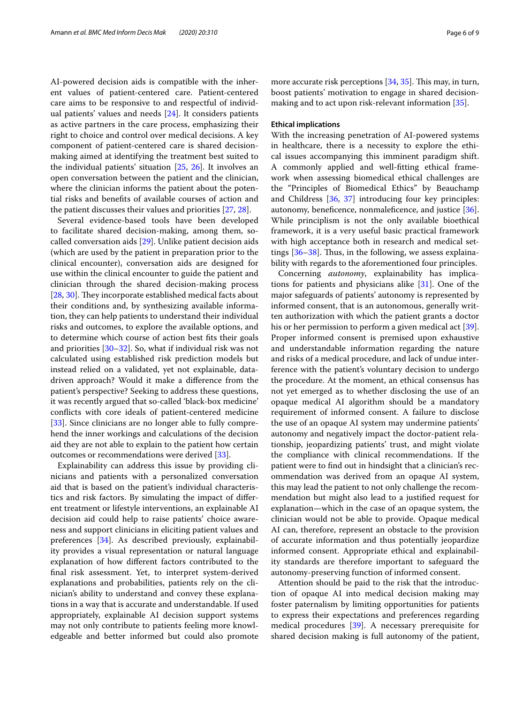AI-powered decision aids is compatible with the inherent values of patient-centered care. Patient-centered care aims to be responsive to and respectful of individual patients' values and needs [[24\]](#page-8-18). It considers patients as active partners in the care process, emphasizing their right to choice and control over medical decisions. A key component of patient-centered care is shared decisionmaking aimed at identifying the treatment best suited to the individual patients' situation [\[25,](#page-8-19) [26\]](#page-8-20). It involves an open conversation between the patient and the clinician, where the clinician informs the patient about the potential risks and benefts of available courses of action and the patient discusses their values and priorities [[27,](#page-8-21) [28](#page-8-22)].

Several evidence-based tools have been developed to facilitate shared decision-making, among them, socalled conversation aids [[29](#page-8-23)]. Unlike patient decision aids (which are used by the patient in preparation prior to the clinical encounter), conversation aids are designed for use within the clinical encounter to guide the patient and clinician through the shared decision-making process [[28,](#page-8-22) [30\]](#page-8-24). They incorporate established medical facts about their conditions and, by synthesizing available information, they can help patients to understand their individual risks and outcomes, to explore the available options, and to determine which course of action best fts their goals and priorities [[30–](#page-8-24)[32](#page-8-25)]. So, what if individual risk was not calculated using established risk prediction models but instead relied on a validated, yet not explainable, datadriven approach? Would it make a diference from the patient's perspective? Seeking to address these questions, it was recently argued that so-called 'black-box medicine' conficts with core ideals of patient-centered medicine [[33\]](#page-8-26). Since clinicians are no longer able to fully comprehend the inner workings and calculations of the decision aid they are not able to explain to the patient how certain outcomes or recommendations were derived [\[33](#page-8-26)].

Explainability can address this issue by providing clinicians and patients with a personalized conversation aid that is based on the patient's individual characteristics and risk factors. By simulating the impact of diferent treatment or lifestyle interventions, an explainable AI decision aid could help to raise patients' choice awareness and support clinicians in eliciting patient values and preferences [\[34\]](#page-8-27). As described previously, explainability provides a visual representation or natural language explanation of how diferent factors contributed to the fnal risk assessment. Yet, to interpret system-derived explanations and probabilities, patients rely on the clinician's ability to understand and convey these explanations in a way that is accurate and understandable. If used appropriately, explainable AI decision support systems may not only contribute to patients feeling more knowledgeable and better informed but could also promote more accurate risk perceptions [[34,](#page-8-27) [35\]](#page-8-28). This may, in turn, boost patients' motivation to engage in shared decisionmaking and to act upon risk-relevant information [\[35\]](#page-8-28).

#### **Ethical implications**

With the increasing penetration of AI-powered systems in healthcare, there is a necessity to explore the ethical issues accompanying this imminent paradigm shift. A commonly applied and well-ftting ethical framework when assessing biomedical ethical challenges are the "Principles of Biomedical Ethics" by Beauchamp and Childress [\[36,](#page-8-29) [37](#page-8-30)] introducing four key principles: autonomy, beneficence, nonmaleficence, and justice [\[36](#page-8-29)]. While principlism is not the only available bioethical framework, it is a very useful basic practical framework with high acceptance both in research and medical settings  $[36-38]$  $[36-38]$  $[36-38]$ . Thus, in the following, we assess explainability with regards to the aforementioned four principles.

Concerning *autonomy*, explainability has implications for patients and physicians alike [[31\]](#page-8-32). One of the major safeguards of patients' autonomy is represented by informed consent, that is an autonomous, generally written authorization with which the patient grants a doctor his or her permission to perform a given medical act [\[39](#page-8-33)]. Proper informed consent is premised upon exhaustive and understandable information regarding the nature and risks of a medical procedure, and lack of undue interference with the patient's voluntary decision to undergo the procedure. At the moment, an ethical consensus has not yet emerged as to whether disclosing the use of an opaque medical AI algorithm should be a mandatory requirement of informed consent. A failure to disclose the use of an opaque AI system may undermine patients' autonomy and negatively impact the doctor-patient relationship, jeopardizing patients' trust, and might violate the compliance with clinical recommendations. If the patient were to fnd out in hindsight that a clinician's recommendation was derived from an opaque AI system, this may lead the patient to not only challenge the recommendation but might also lead to a justifed request for explanation—which in the case of an opaque system, the clinician would not be able to provide. Opaque medical AI can, therefore, represent an obstacle to the provision of accurate information and thus potentially jeopardize informed consent. Appropriate ethical and explainability standards are therefore important to safeguard the autonomy-preserving function of informed consent.

Attention should be paid to the risk that the introduction of opaque AI into medical decision making may foster paternalism by limiting opportunities for patients to express their expectations and preferences regarding medical procedures [[39\]](#page-8-33). A necessary prerequisite for shared decision making is full autonomy of the patient,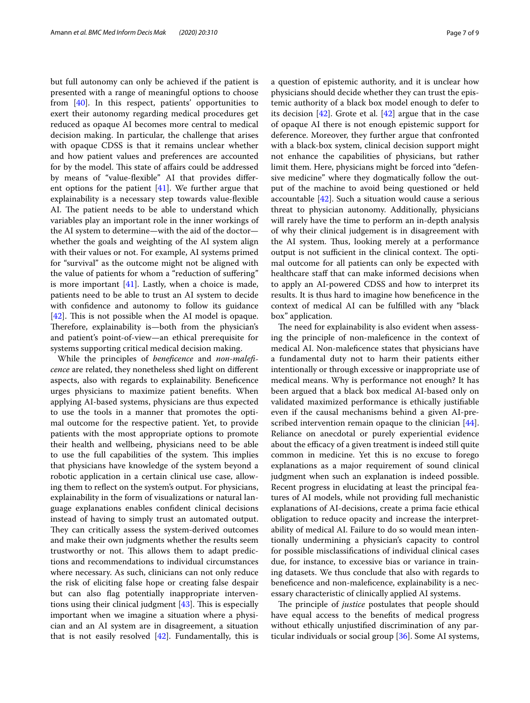but full autonomy can only be achieved if the patient is presented with a range of meaningful options to choose from [[40\]](#page-8-34). In this respect, patients' opportunities to exert their autonomy regarding medical procedures get reduced as opaque AI becomes more central to medical decision making. In particular, the challenge that arises with opaque CDSS is that it remains unclear whether and how patient values and preferences are accounted for by the model. This state of affairs could be addressed by means of "value-fexible" AI that provides diferent options for the patient  $[41]$  $[41]$ . We further argue that explainability is a necessary step towards value-fexible AI. The patient needs to be able to understand which variables play an important role in the inner workings of the AI system to determine—with the aid of the doctor whether the goals and weighting of the AI system align with their values or not. For example, AI systems primed for "survival" as the outcome might not be aligned with the value of patients for whom a "reduction of sufering" is more important  $[41]$  $[41]$ . Lastly, when a choice is made, patients need to be able to trust an AI system to decide with confdence and autonomy to follow its guidance  $[42]$  $[42]$ . This is not possible when the AI model is opaque. Therefore, explainability is—both from the physician's and patient's point-of-view—an ethical prerequisite for systems supporting critical medical decision making.

While the principles of *benefcence* and *non-malefcence* are related, they nonetheless shed light on diferent aspects, also with regards to explainability. Benefcence urges physicians to maximize patient benefts. When applying AI-based systems, physicians are thus expected to use the tools in a manner that promotes the optimal outcome for the respective patient. Yet, to provide patients with the most appropriate options to promote their health and wellbeing, physicians need to be able to use the full capabilities of the system. This implies that physicians have knowledge of the system beyond a robotic application in a certain clinical use case, allowing them to refect on the system's output. For physicians, explainability in the form of visualizations or natural language explanations enables confdent clinical decisions instead of having to simply trust an automated output. They can critically assess the system-derived outcomes and make their own judgments whether the results seem trustworthy or not. This allows them to adapt predictions and recommendations to individual circumstances where necessary. As such, clinicians can not only reduce the risk of eliciting false hope or creating false despair but can also flag potentially inappropriate interventions using their clinical judgment  $[43]$  $[43]$  $[43]$ . This is especially important when we imagine a situation where a physician and an AI system are in disagreement, a situation that is not easily resolved [[42\]](#page-8-36). Fundamentally, this is a question of epistemic authority, and it is unclear how physicians should decide whether they can trust the epistemic authority of a black box model enough to defer to its decision [[42](#page-8-36)]. Grote et al. [\[42](#page-8-36)] argue that in the case of opaque AI there is not enough epistemic support for deference. Moreover, they further argue that confronted with a black-box system, clinical decision support might not enhance the capabilities of physicians, but rather limit them. Here, physicians might be forced into "defensive medicine" where they dogmatically follow the output of the machine to avoid being questioned or held accountable [[42\]](#page-8-36). Such a situation would cause a serious threat to physician autonomy. Additionally, physicians will rarely have the time to perform an in-depth analysis of why their clinical judgement is in disagreement with the AI system. Thus, looking merely at a performance output is not sufficient in the clinical context. The optimal outcome for all patients can only be expected with healthcare staff that can make informed decisions when to apply an AI-powered CDSS and how to interpret its results. It is thus hard to imagine how benefcence in the context of medical AI can be fulflled with any "black box" application.

The need for explainability is also evident when assessing the principle of non-malefcence in the context of medical AI. Non-malefcence states that physicians have a fundamental duty not to harm their patients either intentionally or through excessive or inappropriate use of medical means. Why is performance not enough? It has been argued that a black box medical AI-based only on validated maximized performance is ethically justifable even if the causal mechanisms behind a given AI-pre-scribed intervention remain opaque to the clinician [\[44](#page-8-38)]. Reliance on anecdotal or purely experiential evidence about the efficacy of a given treatment is indeed still quite common in medicine. Yet this is no excuse to forego explanations as a major requirement of sound clinical judgment when such an explanation is indeed possible. Recent progress in elucidating at least the principal features of AI models, while not providing full mechanistic explanations of AI-decisions, create a prima facie ethical obligation to reduce opacity and increase the interpretability of medical AI. Failure to do so would mean intentionally undermining a physician's capacity to control for possible misclassifcations of individual clinical cases due, for instance, to excessive bias or variance in training datasets. We thus conclude that also with regards to benefcence and non-malefcence, explainability is a necessary characteristic of clinically applied AI systems.

The principle of *justice* postulates that people should have equal access to the benefts of medical progress without ethically unjustifed discrimination of any particular individuals or social group [\[36](#page-8-29)]. Some AI systems,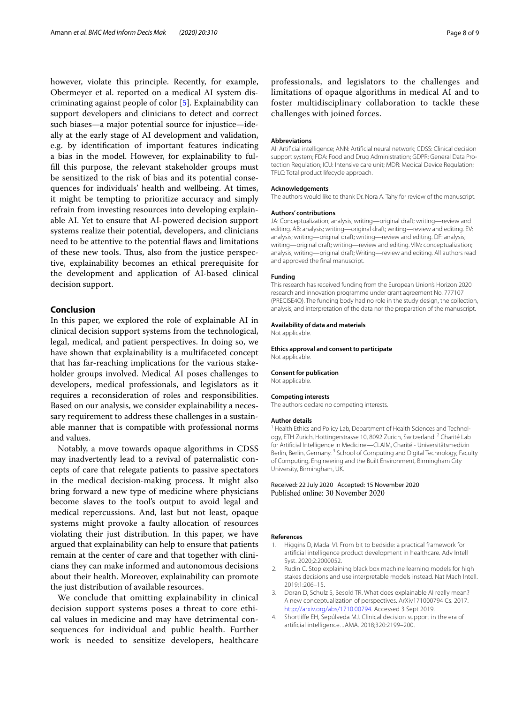however, violate this principle. Recently, for example, Obermeyer et al. reported on a medical AI system discriminating against people of color [\[5\]](#page-8-0). Explainability can support developers and clinicians to detect and correct such biases—a major potential source for injustice—ideally at the early stage of AI development and validation, e.g. by identifcation of important features indicating a bias in the model. However, for explainability to fulfll this purpose, the relevant stakeholder groups must be sensitized to the risk of bias and its potential consequences for individuals' health and wellbeing. At times, it might be tempting to prioritize accuracy and simply refrain from investing resources into developing explainable AI. Yet to ensure that AI-powered decision support systems realize their potential, developers, and clinicians need to be attentive to the potential faws and limitations of these new tools. Thus, also from the justice perspective, explainability becomes an ethical prerequisite for the development and application of AI-based clinical decision support.

### **Conclusion**

In this paper, we explored the role of explainable AI in clinical decision support systems from the technological, legal, medical, and patient perspectives. In doing so, we have shown that explainability is a multifaceted concept that has far-reaching implications for the various stakeholder groups involved. Medical AI poses challenges to developers, medical professionals, and legislators as it requires a reconsideration of roles and responsibilities. Based on our analysis, we consider explainability a necessary requirement to address these challenges in a sustainable manner that is compatible with professional norms and values.

Notably, a move towards opaque algorithms in CDSS may inadvertently lead to a revival of paternalistic concepts of care that relegate patients to passive spectators in the medical decision-making process. It might also bring forward a new type of medicine where physicians become slaves to the tool's output to avoid legal and medical repercussions. And, last but not least, opaque systems might provoke a faulty allocation of resources violating their just distribution. In this paper, we have argued that explainability can help to ensure that patients remain at the center of care and that together with clinicians they can make informed and autonomous decisions about their health. Moreover, explainability can promote the just distribution of available resources.

We conclude that omitting explainability in clinical decision support systems poses a threat to core ethical values in medicine and may have detrimental consequences for individual and public health. Further work is needed to sensitize developers, healthcare

professionals, and legislators to the challenges and limitations of opaque algorithms in medical AI and to foster multidisciplinary collaboration to tackle these challenges with joined forces.

#### **Abbreviations**

AI: Artifcial intelligence; ANN: Artifcial neural network; CDSS: Clinical decision support system; FDA: Food and Drug Administration; GDPR: General Data Protection Regulation; ICU: Intensive care unit; MDR: Medical Device Regulation; TPLC: Total product lifecycle approach.

#### **Acknowledgements**

The authors would like to thank Dr. Nora A. Tahy for review of the manuscript.

#### **Authors' contributions**

JA: Conceptualization; analysis, writing—original draft; writing—review and editing. AB: analysis; writing—original draft; writing—review and editing. EV: analysis; writing—original draft; writing—review and editing. DF: analysis; writing—original draft; writing—review and editing. VIM: conceptualization; analysis, writing—original draft; Writing—review and editing. All authors read and approved the fnal manuscript.

#### **Funding**

This research has received funding from the European Union's Horizon 2020 research and innovation programme under grant agreement No. 777107 (PRECISE4Q). The funding body had no role in the study design, the collection, analysis, and interpretation of the data nor the preparation of the manuscript.

#### **Availability of data and materials**

Not applicable.

#### **Ethics approval and consent to participate**

Not applicable.

#### **Consent for publication**

Not applicable.

#### **Competing interests**

The authors declare no competing interests.

#### **Author details**

<sup>1</sup> Health Ethics and Policy Lab, Department of Health Sciences and Technology, ETH Zurich, Hottingerstrasse 10, 8092 Zurich, Switzerland. <sup>2</sup> Charité Lab for Artifcial Intelligence in Medicine—CLAIM, Charité - Universitätsmedizin Berlin, Berlin, Germany. 3 School of Computing and Digital Technology, Faculty of Computing, Engineering and the Built Environment, Birmingham City University, Birmingham, UK.

#### Received: 22 July 2020 Accepted: 15 November 2020 Published online: 30 November 2020

#### **References**

- <span id="page-7-0"></span>1. Higgins D, Madai VI. From bit to bedside: a practical framework for artifcial intelligence product development in healthcare. Adv Intell Syst. 2020;2:2000052.
- <span id="page-7-1"></span>2. Rudin C. Stop explaining black box machine learning models for high stakes decisions and use interpretable models instead. Nat Mach Intell. 2019;1:206–15.
- <span id="page-7-2"></span>3. Doran D, Schulz S, Besold TR. What does explainable AI really mean? A new conceptualization of perspectives. ArXiv171000794 Cs. 2017. <http://arxiv.org/abs/1710.00794>. Accessed 3 Sept 2019.
- <span id="page-7-3"></span>4. Shortlife EH, Sepúlveda MJ. Clinical decision support in the era of artifcial intelligence. JAMA. 2018;320:2199–200.